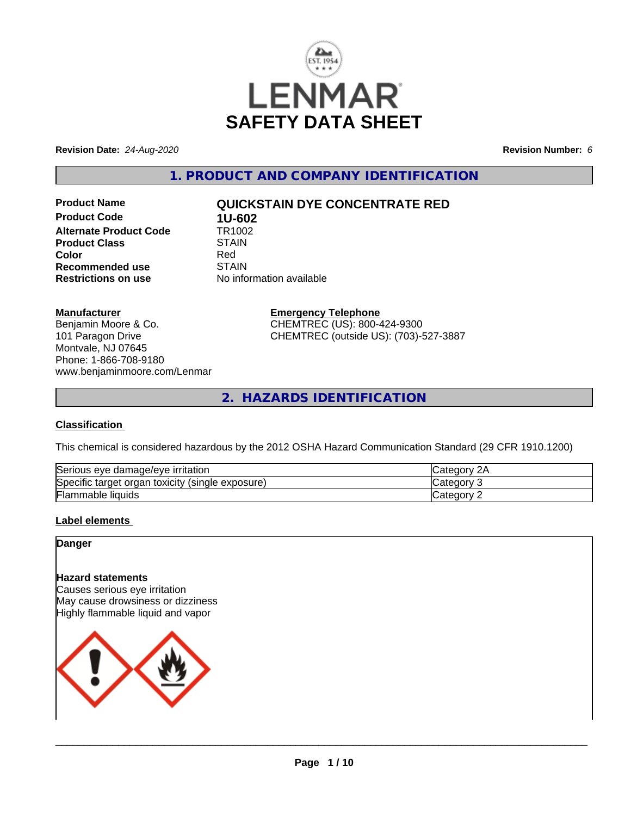

**Revision Date:** *24-Aug-2020* **Revision Number:** *6*

**1. PRODUCT AND COMPANY IDENTIFICATION**

**Product Code 1U-602**<br>**Alternate Product Code 1TR1002 Alternate Product Code Product Class STAIN STAIN**<br> **Color** Red **Recommended use** STAIN<br> **Restrictions on use** No info

# **Product Name QUICKSTAIN DYE CONCENTRATE RED**

**Color** Red **No information available** 

**Manufacturer**

Benjamin Moore & Co. 101 Paragon Drive Montvale, NJ 07645 Phone: 1-866-708-9180 www.benjaminmoore.com/Lenmar **Emergency Telephone** CHEMTREC (US): 800-424-9300 CHEMTREC (outside US): (703)-527-3887

**2. HAZARDS IDENTIFICATION**

## **Classification**

This chemical is considered hazardous by the 2012 OSHA Hazard Communication Standard (29 CFR 1910.1200)

| Serious eye damage/eye i<br>irritation                           | Categor      |
|------------------------------------------------------------------|--------------|
| Specific<br>exposure)<br>toxicity<br>(single)<br>organ<br>target | ≀u∪u         |
| Flammable<br>liquids                                             | Categor<br>- |

## **Label elements**

**Danger**

# **Hazard statements**

Causes serious eye irritation May cause drowsiness or dizziness Highly flammable liquid and vapor

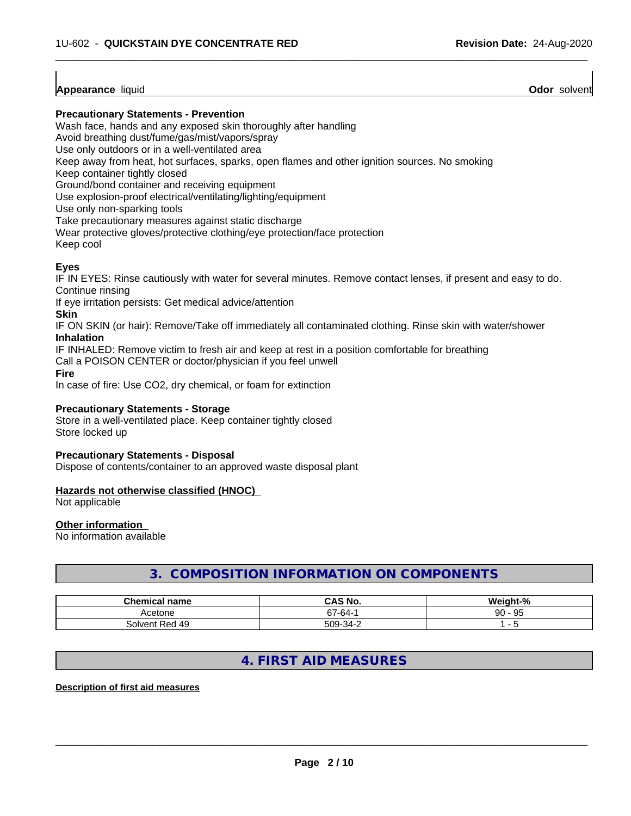## **Appearance** liquid

**Odor** solvent

### **Precautionary Statements - Prevention**

Wash face, hands and any exposed skin thoroughly after handling

Avoid breathing dust/fume/gas/mist/vapors/spray

Use only outdoors or in a well-ventilated area

Keep away from heat, hot surfaces, sparks, open flames and other ignition sources. No smoking

Keep container tightly closed

Ground/bond container and receiving equipment

Use explosion-proof electrical/ventilating/lighting/equipment

Use only non-sparking tools

Take precautionary measures against static discharge

Wear protective gloves/protective clothing/eye protection/face protection

Keep cool

## **Eyes**

IF IN EYES: Rinse cautiously with water for several minutes. Remove contact lenses, if present and easy to do. Continue rinsing

 $\overline{\phantom{a}}$  ,  $\overline{\phantom{a}}$  ,  $\overline{\phantom{a}}$  ,  $\overline{\phantom{a}}$  ,  $\overline{\phantom{a}}$  ,  $\overline{\phantom{a}}$  ,  $\overline{\phantom{a}}$  ,  $\overline{\phantom{a}}$  ,  $\overline{\phantom{a}}$  ,  $\overline{\phantom{a}}$  ,  $\overline{\phantom{a}}$  ,  $\overline{\phantom{a}}$  ,  $\overline{\phantom{a}}$  ,  $\overline{\phantom{a}}$  ,  $\overline{\phantom{a}}$  ,  $\overline{\phantom{a}}$ 

If eye irritation persists: Get medical advice/attention

**Skin**

IF ON SKIN (or hair): Remove/Take off immediately all contaminated clothing. Rinse skin with water/shower **Inhalation**

IF INHALED: Remove victim to fresh air and keep at rest in a position comfortable for breathing

Call a POISON CENTER or doctor/physician if you feel unwell

**Fire**

In case of fire: Use CO2, dry chemical, or foam for extinction

### **Precautionary Statements - Storage**

Store in a well-ventilated place. Keep container tightly closed Store locked up

### **Precautionary Statements - Disposal**

Dispose of contents/container to an approved waste disposal plant

### **Hazards not otherwise classified (HNOC)**

Not applicable

### **Other information**

No information available

# **3. COMPOSITION INFORMATION ON COMPONENTS**

| Chemical<br>name    | $\begin{array}{c} \hline \end{array}$<br>.NO<br>unc | $\mathbf{a}$<br>.<br>.<br>м.<br>70            |
|---------------------|-----------------------------------------------------|-----------------------------------------------|
| Acetone             | $\sim$<br>-64-<br>ັ                                 | $\sim$ $\sim$<br>$\Omega$<br>ີຟ►<br>ອບ<br>ັບພ |
| ' 49<br>Solvent Red | $F\cap Q$<br>$\sim$ $\sim$<br>-34-<br>⊬י∪           |                                               |

# **4. FIRST AID MEASURES**

### **Description of first aid measures**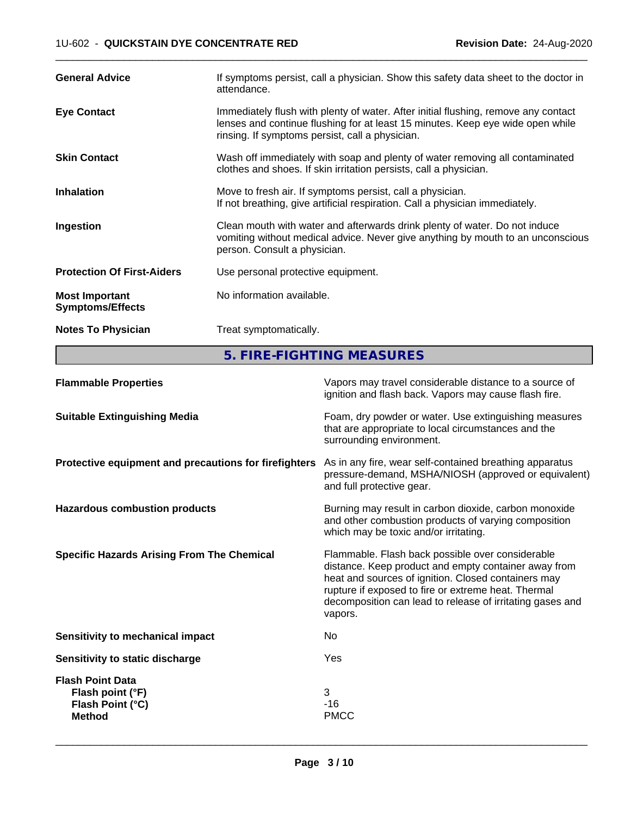| <b>General Advice</b>                            | If symptoms persist, call a physician. Show this safety data sheet to the doctor in<br>attendance.                                                                                                                      |
|--------------------------------------------------|-------------------------------------------------------------------------------------------------------------------------------------------------------------------------------------------------------------------------|
| <b>Eye Contact</b>                               | Immediately flush with plenty of water. After initial flushing, remove any contact<br>lenses and continue flushing for at least 15 minutes. Keep eye wide open while<br>rinsing. If symptoms persist, call a physician. |
| <b>Skin Contact</b>                              | Wash off immediately with soap and plenty of water removing all contaminated<br>clothes and shoes. If skin irritation persists, call a physician.                                                                       |
| <b>Inhalation</b>                                | Move to fresh air. If symptoms persist, call a physician.<br>If not breathing, give artificial respiration. Call a physician immediately.                                                                               |
| Ingestion                                        | Clean mouth with water and afterwards drink plenty of water. Do not induce<br>vomiting without medical advice. Never give anything by mouth to an unconscious<br>person. Consult a physician.                           |
| <b>Protection Of First-Aiders</b>                | Use personal protective equipment.                                                                                                                                                                                      |
| <b>Most Important</b><br><b>Symptoms/Effects</b> | No information available.                                                                                                                                                                                               |
| <b>Notes To Physician</b>                        | Treat symptomatically.                                                                                                                                                                                                  |

 $\overline{\phantom{a}}$  ,  $\overline{\phantom{a}}$  ,  $\overline{\phantom{a}}$  ,  $\overline{\phantom{a}}$  ,  $\overline{\phantom{a}}$  ,  $\overline{\phantom{a}}$  ,  $\overline{\phantom{a}}$  ,  $\overline{\phantom{a}}$  ,  $\overline{\phantom{a}}$  ,  $\overline{\phantom{a}}$  ,  $\overline{\phantom{a}}$  ,  $\overline{\phantom{a}}$  ,  $\overline{\phantom{a}}$  ,  $\overline{\phantom{a}}$  ,  $\overline{\phantom{a}}$  ,  $\overline{\phantom{a}}$ 

**5. FIRE-FIGHTING MEASURES**

| <b>Flammable Properties</b>                                                      | Vapors may travel considerable distance to a source of<br>ignition and flash back. Vapors may cause flash fire.                                                                                                                                                                                |
|----------------------------------------------------------------------------------|------------------------------------------------------------------------------------------------------------------------------------------------------------------------------------------------------------------------------------------------------------------------------------------------|
| <b>Suitable Extinguishing Media</b>                                              | Foam, dry powder or water. Use extinguishing measures<br>that are appropriate to local circumstances and the<br>surrounding environment.                                                                                                                                                       |
| Protective equipment and precautions for firefighters                            | As in any fire, wear self-contained breathing apparatus<br>pressure-demand, MSHA/NIOSH (approved or equivalent)<br>and full protective gear.                                                                                                                                                   |
| <b>Hazardous combustion products</b>                                             | Burning may result in carbon dioxide, carbon monoxide<br>and other combustion products of varying composition<br>which may be toxic and/or irritating.                                                                                                                                         |
| <b>Specific Hazards Arising From The Chemical</b>                                | Flammable. Flash back possible over considerable<br>distance. Keep product and empty container away from<br>heat and sources of ignition. Closed containers may<br>rupture if exposed to fire or extreme heat. Thermal<br>decomposition can lead to release of irritating gases and<br>vapors. |
| <b>Sensitivity to mechanical impact</b>                                          | No.                                                                                                                                                                                                                                                                                            |
| <b>Sensitivity to static discharge</b>                                           | Yes                                                                                                                                                                                                                                                                                            |
| <b>Flash Point Data</b><br>Flash point (°F)<br>Flash Point (°C)<br><b>Method</b> | 3<br>$-16$<br><b>PMCC</b>                                                                                                                                                                                                                                                                      |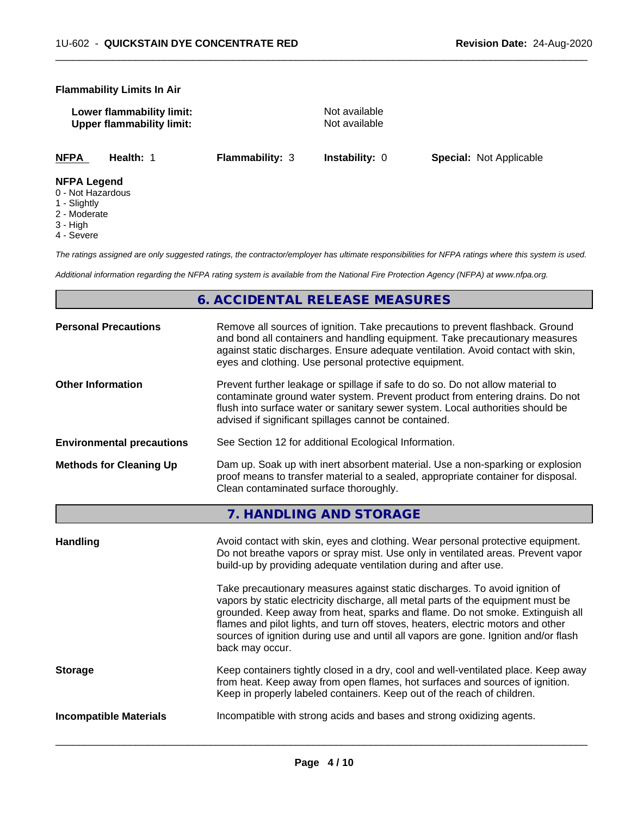#### **Flammability Limits In Air**

| Lower flammability limit:        | Not available |
|----------------------------------|---------------|
| <b>Upper flammability limit:</b> | Not available |

 $\overline{\phantom{a}}$  ,  $\overline{\phantom{a}}$  ,  $\overline{\phantom{a}}$  ,  $\overline{\phantom{a}}$  ,  $\overline{\phantom{a}}$  ,  $\overline{\phantom{a}}$  ,  $\overline{\phantom{a}}$  ,  $\overline{\phantom{a}}$  ,  $\overline{\phantom{a}}$  ,  $\overline{\phantom{a}}$  ,  $\overline{\phantom{a}}$  ,  $\overline{\phantom{a}}$  ,  $\overline{\phantom{a}}$  ,  $\overline{\phantom{a}}$  ,  $\overline{\phantom{a}}$  ,  $\overline{\phantom{a}}$ 

**NFPA Health:** 1 **Flammability:** 3 **Instability:** 0 **Special:** Not Applicable

### **NFPA Legend**

- 0 Not Hazardous
- 1 Slightly
- 2 Moderate
- 3 High
- 4 Severe

*The ratings assigned are only suggested ratings, the contractor/employer has ultimate responsibilities for NFPA ratings where this system is used.*

*Additional information regarding the NFPA rating system is available from the National Fire Protection Agency (NFPA) at www.nfpa.org.*

# **6. ACCIDENTAL RELEASE MEASURES**

| eyes and clothing. Use personal protective equipment.                                                                                                                                                                                                                                                                                                                                                                                                                                                                                                                                                                                                                                     |
|-------------------------------------------------------------------------------------------------------------------------------------------------------------------------------------------------------------------------------------------------------------------------------------------------------------------------------------------------------------------------------------------------------------------------------------------------------------------------------------------------------------------------------------------------------------------------------------------------------------------------------------------------------------------------------------------|
| Prevent further leakage or spillage if safe to do so. Do not allow material to<br>contaminate ground water system. Prevent product from entering drains. Do not<br>flush into surface water or sanitary sewer system. Local authorities should be<br>advised if significant spillages cannot be contained.                                                                                                                                                                                                                                                                                                                                                                                |
| See Section 12 for additional Ecological Information.                                                                                                                                                                                                                                                                                                                                                                                                                                                                                                                                                                                                                                     |
| Dam up. Soak up with inert absorbent material. Use a non-sparking or explosion<br>proof means to transfer material to a sealed, appropriate container for disposal.<br>Clean contaminated surface thoroughly.                                                                                                                                                                                                                                                                                                                                                                                                                                                                             |
| 7. HANDLING AND STORAGE                                                                                                                                                                                                                                                                                                                                                                                                                                                                                                                                                                                                                                                                   |
| Avoid contact with skin, eyes and clothing. Wear personal protective equipment.<br>Do not breathe vapors or spray mist. Use only in ventilated areas. Prevent vapor<br>build-up by providing adequate ventilation during and after use.<br>Take precautionary measures against static discharges. To avoid ignition of<br>vapors by static electricity discharge, all metal parts of the equipment must be<br>grounded. Keep away from heat, sparks and flame. Do not smoke. Extinguish all<br>flames and pilot lights, and turn off stoves, heaters, electric motors and other<br>sources of ignition during use and until all vapors are gone. Ignition and/or flash<br>back may occur. |
| Keep containers tightly closed in a dry, cool and well-ventilated place. Keep away<br>from heat. Keep away from open flames, hot surfaces and sources of ignition.<br>Keep in properly labeled containers. Keep out of the reach of children.                                                                                                                                                                                                                                                                                                                                                                                                                                             |
| Incompatible with strong acids and bases and strong oxidizing agents.                                                                                                                                                                                                                                                                                                                                                                                                                                                                                                                                                                                                                     |
|                                                                                                                                                                                                                                                                                                                                                                                                                                                                                                                                                                                                                                                                                           |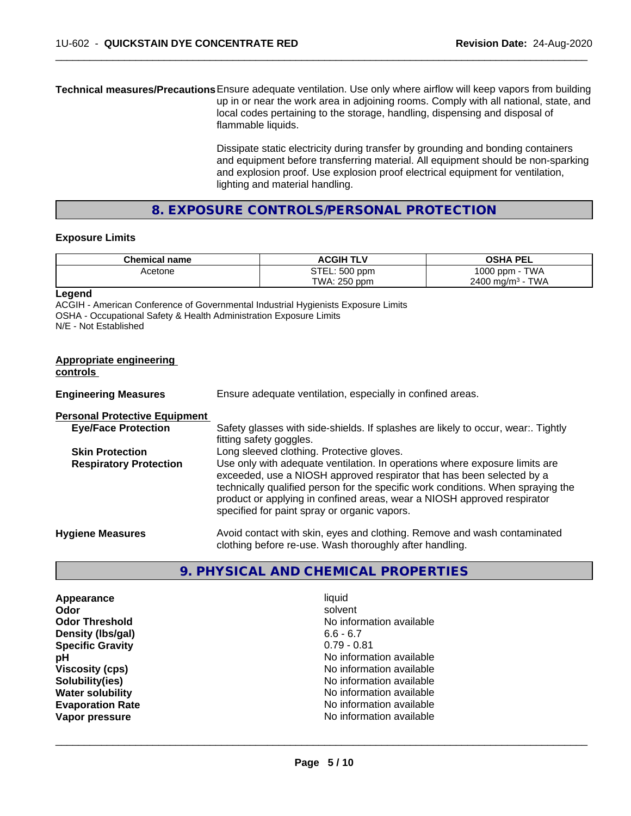**Technical measures/Precautions**Ensure adequate ventilation. Use only where airflow will keep vapors from building up in or near the work area in adjoining rooms. Comply with all national, state, and local codes pertaining to the storage, handling, dispensing and disposal of flammable liquids.

> Dissipate static electricity during transfer by grounding and bonding containers and equipment before transferring material. All equipment should be non-sparking and explosion proof. Use explosion proof electrical equipment for ventilation, lighting and material handling.

 $\overline{\phantom{a}}$  ,  $\overline{\phantom{a}}$  ,  $\overline{\phantom{a}}$  ,  $\overline{\phantom{a}}$  ,  $\overline{\phantom{a}}$  ,  $\overline{\phantom{a}}$  ,  $\overline{\phantom{a}}$  ,  $\overline{\phantom{a}}$  ,  $\overline{\phantom{a}}$  ,  $\overline{\phantom{a}}$  ,  $\overline{\phantom{a}}$  ,  $\overline{\phantom{a}}$  ,  $\overline{\phantom{a}}$  ,  $\overline{\phantom{a}}$  ,  $\overline{\phantom{a}}$  ,  $\overline{\phantom{a}}$ 

# **8. EXPOSURE CONTROLS/PERSONAL PROTECTION**

### **Exposure Limits**

| <b>Chemical name</b> | <b>ACGIH TLV</b> | <b>OSHA PEL</b>              |
|----------------------|------------------|------------------------------|
| Acetone              | STEL: 500 ppm    | <b>TWA</b><br>1000 ppm       |
|                      | TWA: 250 ppm     | TWA<br>$2400 \text{ ma/m}^3$ |

**Legend**

ACGIH - American Conference of Governmental Industrial Hygienists Exposure Limits OSHA - Occupational Safety & Health Administration Exposure Limits N/E - Not Established

| <b>Appropriate engineering</b><br>controls |                                                                                                                                                                                                                                                                                                                                                                     |
|--------------------------------------------|---------------------------------------------------------------------------------------------------------------------------------------------------------------------------------------------------------------------------------------------------------------------------------------------------------------------------------------------------------------------|
| <b>Engineering Measures</b>                | Ensure adequate ventilation, especially in confined areas.                                                                                                                                                                                                                                                                                                          |
| <b>Personal Protective Equipment</b>       |                                                                                                                                                                                                                                                                                                                                                                     |
| <b>Eye/Face Protection</b>                 | Safety glasses with side-shields. If splashes are likely to occur, wear:. Tightly<br>fitting safety goggles.                                                                                                                                                                                                                                                        |
| <b>Skin Protection</b>                     | Long sleeved clothing. Protective gloves.                                                                                                                                                                                                                                                                                                                           |
| <b>Respiratory Protection</b>              | Use only with adequate ventilation. In operations where exposure limits are<br>exceeded, use a NIOSH approved respirator that has been selected by a<br>technically qualified person for the specific work conditions. When spraying the<br>product or applying in confined areas, wear a NIOSH approved respirator<br>specified for paint spray or organic vapors. |
| <b>Hygiene Measures</b>                    | Avoid contact with skin, eyes and clothing. Remove and wash contaminated<br>clothing before re-use. Wash thoroughly after handling.                                                                                                                                                                                                                                 |

# **9. PHYSICAL AND CHEMICAL PROPERTIES**

**Appearance** liquid **Odor** solvent **Density (lbs/gal)** 6.6 - 6.7<br> **Specific Gravity** 6.79 - 0.81 **Specific Gravity** 

**Odor Threshold** No information available **pH** No information available **Viscosity (cps)** No information available<br> **Solubility (ies)** No information available<br>
No information available **Solubility(ies)**<br> **No** information available<br> **Water solubility No information available Evaporation Rate No information available No information available Vapor pressure** No information available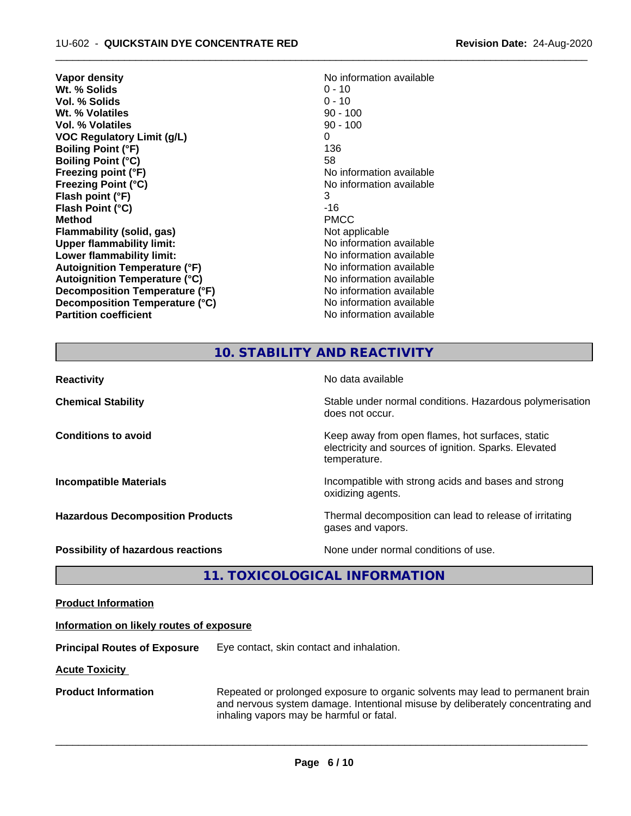| Vapor density                        | No information available |
|--------------------------------------|--------------------------|
| Wt. % Solids                         | $0 - 10$                 |
| <b>Vol. % Solids</b>                 | $0 - 10$                 |
| Wt. % Volatiles                      | $90 - 100$               |
| Vol. % Volatiles                     | $90 - 100$               |
| <b>VOC Regulatory Limit (g/L)</b>    | 0                        |
| <b>Boiling Point (°F)</b>            | 136                      |
| <b>Boiling Point (°C)</b>            | 58                       |
| Freezing point (°F)                  | No information available |
| <b>Freezing Point (°C)</b>           | No information available |
| Flash point (°F)                     | 3                        |
| Flash Point (°C)                     | $-16$                    |
| <b>Method</b>                        | <b>PMCC</b>              |
| Flammability (solid, gas)            | Not applicable           |
| <b>Upper flammability limit:</b>     | No information available |
| Lower flammability limit:            | No information available |
| <b>Autoignition Temperature (°F)</b> | No information available |
| <b>Autoignition Temperature (°C)</b> | No information available |
| Decomposition Temperature (°F)       | No information available |
| Decomposition Temperature (°C)       | No information available |
| <b>Partition coefficient</b>         | No information available |

# **10. STABILITY AND REACTIVITY**

 $\overline{\phantom{a}}$  ,  $\overline{\phantom{a}}$  ,  $\overline{\phantom{a}}$  ,  $\overline{\phantom{a}}$  ,  $\overline{\phantom{a}}$  ,  $\overline{\phantom{a}}$  ,  $\overline{\phantom{a}}$  ,  $\overline{\phantom{a}}$  ,  $\overline{\phantom{a}}$  ,  $\overline{\phantom{a}}$  ,  $\overline{\phantom{a}}$  ,  $\overline{\phantom{a}}$  ,  $\overline{\phantom{a}}$  ,  $\overline{\phantom{a}}$  ,  $\overline{\phantom{a}}$  ,  $\overline{\phantom{a}}$ 

| <b>Reactivity</b>                       | No data available                                                                                                         |
|-----------------------------------------|---------------------------------------------------------------------------------------------------------------------------|
| <b>Chemical Stability</b>               | Stable under normal conditions. Hazardous polymerisation<br>does not occur.                                               |
| <b>Conditions to avoid</b>              | Keep away from open flames, hot surfaces, static<br>electricity and sources of ignition. Sparks. Elevated<br>temperature. |
| <b>Incompatible Materials</b>           | Incompatible with strong acids and bases and strong<br>oxidizing agents.                                                  |
| <b>Hazardous Decomposition Products</b> | Thermal decomposition can lead to release of irritating<br>gases and vapors.                                              |
| Possibility of hazardous reactions      | None under normal conditions of use.                                                                                      |

# **11. TOXICOLOGICAL INFORMATION**

| <b>Product Information</b> |
|----------------------------|
|----------------------------|

### **Information on likely routes of exposure**

**Principal Routes of Exposure** Eye contact, skin contact and inhalation.

**Acute Toxicity** 

**Product Information** Repeated or prolonged exposure to organic solvents may lead to permanent brain and nervous system damage. Intentional misuse by deliberately concentrating and inhaling vapors may be harmful or fatal.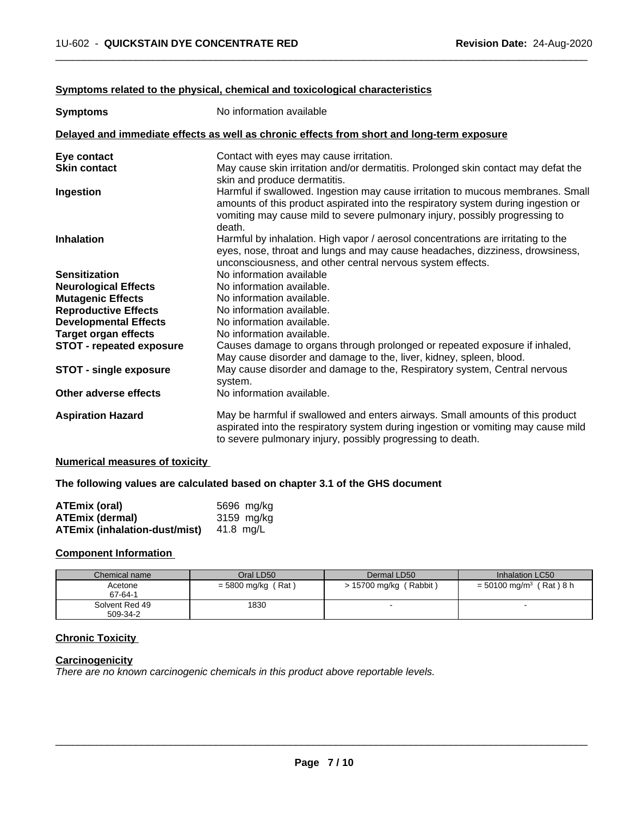#### **Symptoms related to the physical,chemical and toxicological characteristics**

| <b>Symptoms</b>                                                                            | No information available                                                                                                                                                                                                                                      |  |
|--------------------------------------------------------------------------------------------|---------------------------------------------------------------------------------------------------------------------------------------------------------------------------------------------------------------------------------------------------------------|--|
| Delayed and immediate effects as well as chronic effects from short and long-term exposure |                                                                                                                                                                                                                                                               |  |
| Eye contact                                                                                | Contact with eyes may cause irritation.                                                                                                                                                                                                                       |  |
| <b>Skin contact</b>                                                                        | May cause skin irritation and/or dermatitis. Prolonged skin contact may defat the<br>skin and produce dermatitis.                                                                                                                                             |  |
| Ingestion                                                                                  | Harmful if swallowed. Ingestion may cause irritation to mucous membranes. Small<br>amounts of this product aspirated into the respiratory system during ingestion or<br>vomiting may cause mild to severe pulmonary injury, possibly progressing to<br>death. |  |
| <b>Inhalation</b>                                                                          | Harmful by inhalation. High vapor / aerosol concentrations are irritating to the<br>eyes, nose, throat and lungs and may cause headaches, dizziness, drowsiness,<br>unconsciousness, and other central nervous system effects.                                |  |
| <b>Sensitization</b>                                                                       | No information available                                                                                                                                                                                                                                      |  |
| <b>Neurological Effects</b>                                                                | No information available.                                                                                                                                                                                                                                     |  |
| <b>Mutagenic Effects</b>                                                                   | No information available.                                                                                                                                                                                                                                     |  |
| <b>Reproductive Effects</b>                                                                | No information available.                                                                                                                                                                                                                                     |  |
| <b>Developmental Effects</b>                                                               | No information available.                                                                                                                                                                                                                                     |  |
| <b>Target organ effects</b>                                                                | No information available.                                                                                                                                                                                                                                     |  |
| <b>STOT - repeated exposure</b>                                                            | Causes damage to organs through prolonged or repeated exposure if inhaled,<br>May cause disorder and damage to the, liver, kidney, spleen, blood.                                                                                                             |  |
| <b>STOT - single exposure</b>                                                              | May cause disorder and damage to the, Respiratory system, Central nervous<br>system.                                                                                                                                                                          |  |
| Other adverse effects                                                                      | No information available.                                                                                                                                                                                                                                     |  |
| <b>Aspiration Hazard</b>                                                                   | May be harmful if swallowed and enters airways. Small amounts of this product<br>aspirated into the respiratory system during ingestion or vomiting may cause mild<br>to severe pulmonary injury, possibly progressing to death.                              |  |

 $\overline{\phantom{a}}$  ,  $\overline{\phantom{a}}$  ,  $\overline{\phantom{a}}$  ,  $\overline{\phantom{a}}$  ,  $\overline{\phantom{a}}$  ,  $\overline{\phantom{a}}$  ,  $\overline{\phantom{a}}$  ,  $\overline{\phantom{a}}$  ,  $\overline{\phantom{a}}$  ,  $\overline{\phantom{a}}$  ,  $\overline{\phantom{a}}$  ,  $\overline{\phantom{a}}$  ,  $\overline{\phantom{a}}$  ,  $\overline{\phantom{a}}$  ,  $\overline{\phantom{a}}$  ,  $\overline{\phantom{a}}$ 

### **Numerical measures of toxicity**

### **The following values are calculated based on chapter 3.1 of the GHS document**

| <b>ATEmix (oral)</b>                 | 5696 mg/kg |
|--------------------------------------|------------|
| <b>ATEmix (dermal)</b>               | 3159 mg/kg |
| <b>ATEmix (inhalation-dust/mist)</b> | 41.8 ma/L  |

### **Component Information**

| Chemical name  | Oral LD50            | Dermal LD50                 | Inhalation LC50                        |
|----------------|----------------------|-----------------------------|----------------------------------------|
| Acetone        | $=$ 5800 mg/kg (Rat) | (Rabbit)<br>> 15700 mg/kg ( | $= 50100$ mg/m <sup>3</sup> (Rat ) 8 h |
| 67-64-1        |                      |                             |                                        |
| Solvent Red 49 | 1830                 |                             |                                        |
| 509-34-2       |                      |                             |                                        |

## **Chronic Toxicity**

# **Carcinogenicity**

*There are no known carcinogenic chemicals in this product above reportable levels.*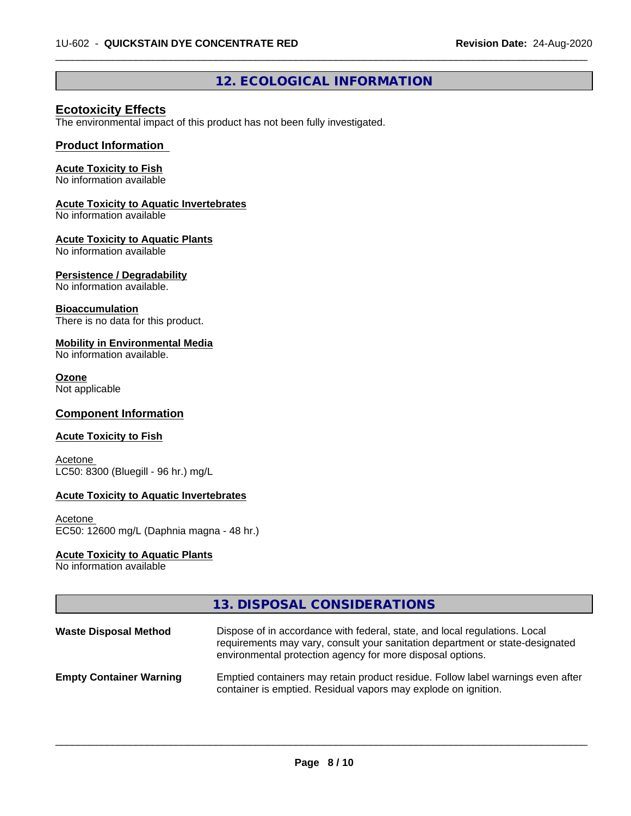# **12. ECOLOGICAL INFORMATION**

 $\overline{\phantom{a}}$  ,  $\overline{\phantom{a}}$  ,  $\overline{\phantom{a}}$  ,  $\overline{\phantom{a}}$  ,  $\overline{\phantom{a}}$  ,  $\overline{\phantom{a}}$  ,  $\overline{\phantom{a}}$  ,  $\overline{\phantom{a}}$  ,  $\overline{\phantom{a}}$  ,  $\overline{\phantom{a}}$  ,  $\overline{\phantom{a}}$  ,  $\overline{\phantom{a}}$  ,  $\overline{\phantom{a}}$  ,  $\overline{\phantom{a}}$  ,  $\overline{\phantom{a}}$  ,  $\overline{\phantom{a}}$ 

# **Ecotoxicity Effects**

The environmental impact of this product has not been fully investigated.

### **Product Information**

# **Acute Toxicity to Fish**

No information available

# **Acute Toxicity to Aquatic Invertebrates**

No information available

#### **Acute Toxicity to Aquatic Plants**

No information available

### **Persistence / Degradability**

No information available.

#### **Bioaccumulation**

There is no data for this product.

## **Mobility in Environmental Media**

No information available.

#### **Ozone**

Not applicable

### **Component Information**

### **Acute Toxicity to Fish**

**Acetone** LC50: 8300 (Bluegill - 96 hr.) mg/L

### **Acute Toxicity to Aquatic Invertebrates**

```
Acetone 
EC50: 12600 mg/L (Daphnia magna - 48 hr.)
```
### **Acute Toxicity to Aquatic Plants**

No information available

|                                | 13. DISPOSAL CONSIDERATIONS                                                                                                                                                                                               |
|--------------------------------|---------------------------------------------------------------------------------------------------------------------------------------------------------------------------------------------------------------------------|
| <b>Waste Disposal Method</b>   | Dispose of in accordance with federal, state, and local regulations. Local<br>requirements may vary, consult your sanitation department or state-designated<br>environmental protection agency for more disposal options. |
| <b>Empty Container Warning</b> | Emptied containers may retain product residue. Follow label warnings even after<br>container is emptied. Residual vapors may explode on ignition.                                                                         |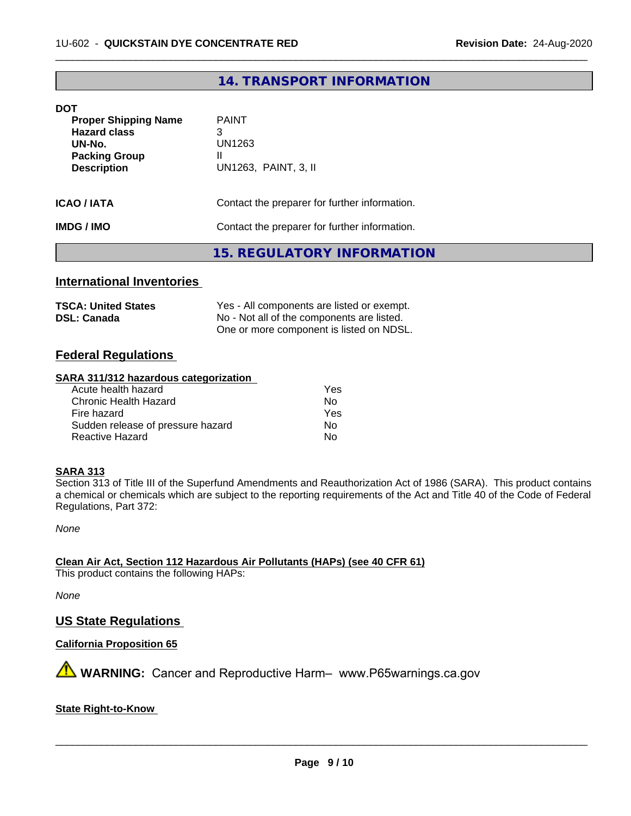# **14. TRANSPORT INFORMATION**

 $\overline{\phantom{a}}$  ,  $\overline{\phantom{a}}$  ,  $\overline{\phantom{a}}$  ,  $\overline{\phantom{a}}$  ,  $\overline{\phantom{a}}$  ,  $\overline{\phantom{a}}$  ,  $\overline{\phantom{a}}$  ,  $\overline{\phantom{a}}$  ,  $\overline{\phantom{a}}$  ,  $\overline{\phantom{a}}$  ,  $\overline{\phantom{a}}$  ,  $\overline{\phantom{a}}$  ,  $\overline{\phantom{a}}$  ,  $\overline{\phantom{a}}$  ,  $\overline{\phantom{a}}$  ,  $\overline{\phantom{a}}$ 

#### **DOT**

| <b>Proper Shipping Name</b><br><b>Hazard class</b><br>UN-No.<br><b>Packing Group</b><br><b>Description</b> | <b>PAINT</b><br>3<br>UN1263<br>Ш<br>UN1263, PAINT, 3, II |  |
|------------------------------------------------------------------------------------------------------------|----------------------------------------------------------|--|
| <b>ICAO / IATA</b>                                                                                         | Contact the preparer for further information.            |  |
| <b>IMDG / IMO</b>                                                                                          | Contact the preparer for further information.            |  |
|                                                                                                            | 15. REGULATORY INFORMATION                               |  |

### **International Inventories**

| <b>TSCA: United States</b> | Yes - All components are listed or exempt. |
|----------------------------|--------------------------------------------|
| <b>DSL: Canada</b>         | No - Not all of the components are listed. |
|                            | One or more component is listed on NDSL.   |

## **Federal Regulations**

#### **SARA 311/312 hazardous categorization**

| Yes |
|-----|
| Nο  |
| Yes |
| Nο  |
| Nο  |
|     |

### **SARA 313**

Section 313 of Title III of the Superfund Amendments and Reauthorization Act of 1986 (SARA). This product contains a chemical or chemicals which are subject to the reporting requirements of the Act and Title 40 of the Code of Federal Regulations, Part 372:

*None*

**Clean Air Act,Section 112 Hazardous Air Pollutants (HAPs) (see 40 CFR 61)** This product contains the following HAPs:

*None*

## **US State Regulations**

**California Proposition 65**

**A** WARNING: Cancer and Reproductive Harm– www.P65warnings.ca.gov

**State Right-to-Know**